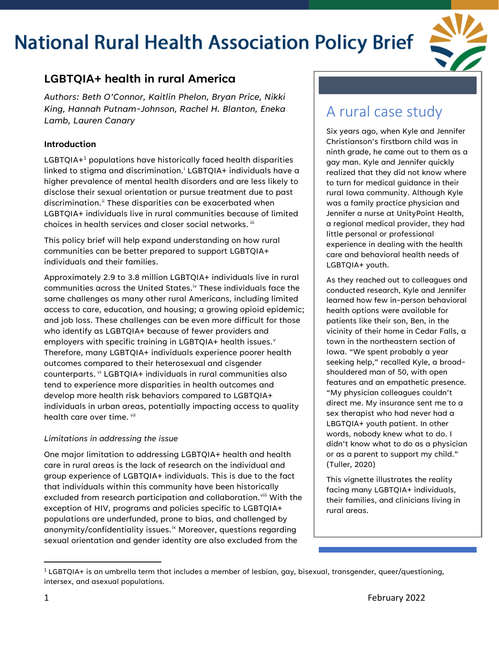

### **LGBTQIA+ health in rural America**

*Authors: Beth O'Connor, Kaitlin Phelon, Bryan Price, Nikki King, Hannah Putnam-Johnson, Rachel H. Blanton, Eneka Lamb, Lauren Canary* 

#### **Introduction**

LGBTQIA+<sup>[1](#page-0-0)</sup> populations have historically faced health disparities linked to stigma and discrimination.<sup>i</sup> LGBTQIA+ individuals have a higher prevalence of mental health disorders and are less likely to disclose their sexual orientation or pursue treatment due to past discrimination. [ii](#page-2-1) These disparities can be exacerbated when LGBTQIA+ individuals live in rural communities because of limited choices in health services and closer social networks. [iii](#page-3-0)

This policy brief will help expand understanding on how rural communities can be better prepared to support LGBTQIA+ individuals and their families.

Approximately 2.9 to 3.8 million LGBTQIA+ individuals live in rural communities across the United States.<sup>[iv](#page-3-1)</sup> These individuals face the same challenges as many other rural Americans, including limited access to care, education, and housing; a growing opioid epidemic; and job loss. These challenges can be even more difficult for those who identify as LGBTQIA+ because of fewer providers and employers with specific training in LGBTQIA+ health issues. $^{\text{v}}$  $^{\text{v}}$  $^{\text{v}}$ Therefore, many LGBTQIA+ individuals experience poorer health outcomes compared to their heterosexual and cisgender counterparts. [vi](#page-3-3) LGBTQIA+ individuals in rural communities also tend to experience more disparities in health outcomes and develop more health risk behaviors compared to LGBTQIA+ individuals in urban areas, potentially impacting access to quality health care over time. [vii](#page-3-4)

#### *Limitations in addressing the issue*

One major limitation to addressing LGBTQIA+ health and health care in rural areas is the lack of research on the individual and group experience of LGBTQIA+ individuals. This is due to the fact that individuals within this community have been historically excluded from research participation and collaboration. [viii](#page-3-5) With the exception of HIV, programs and policies specific to LGBTQIA+ populations are underfunded, prone to bias, and challenged by anonymity/confidentiality issues.<sup>[ix](#page-3-6)</sup> Moreover, questions regarding sexual orientation and gender identity are also excluded from the

### A rural case study

Six years ago, when Kyle and Jennifer Christianson's firstborn child was in ninth grade, he came out to them as a gay man. Kyle and Jennifer quickly realized that they did not know where to turn for medical guidance in their rural Iowa community. Although Kyle was a family practice physician and Jennifer a nurse at UnityPoint Health, a regional medical provider, they had little personal or professional experience in dealing with the health care and behavioral health needs of LGBTQIA+ youth.

As they reached out to colleagues and conducted research, Kyle and Jennifer learned how few in-person behavioral health options were available for patients like their son, Ben, in the vicinity of their home in Cedar Falls, a town in the northeastern section of Iowa. "We spent probably a year seeking help," recalled Kyle, a broadshouldered man of 50, with open features and an empathetic presence. "My physician colleagues couldn't direct me. My insurance sent me to a sex therapist who had never had a LBGTQIA+ youth patient. In other words, nobody knew what to do. I didn't know what to do as a physician or as a parent to support my child." (Tuller, 2020)

This vignette illustrates the reality facing many LGBTQIA+ individuals, their families, and clinicians living in rural areas.

<span id="page-0-0"></span> $1$  LGBTQIA+ is an umbrella term that includes a member of lesbian, gay, bisexual, transgender, queer/questioning, intersex, and asexual populations.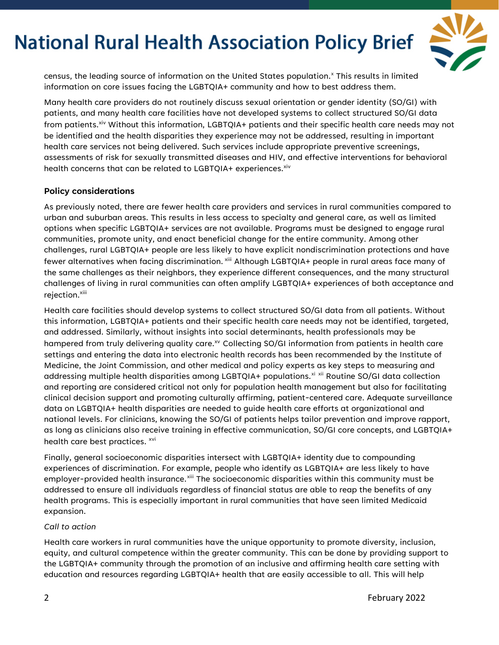

census, the leading source of information on the United States population. [x](#page-3-7) This results in limited information on core issues facing the LGBTQIA+ community and how to best address them.

Many health care providers do not routinely discuss sexual orientation or gender identity (SO/GI) with patients, and many health care facilities have not developed systems to collect structured SO/GI data from patients.<sup>xiv</sup> Without this information, LGBTQIA+ patients and their specific health care needs may not be identified and the health disparities they experience may not be addressed, resulting in important health care services not being delivered. Such services include appropriate preventive screenings, assessments of risk for sexually transmitted diseases and HIV, and effective interventions for behavioral health concerns that can be related to LGBTQIA+ experiences.<sup>xiv</sup>

#### **Policy considerations**

As previously noted, there are fewer health care providers and services in rural communities compared to urban and suburban areas. This results in less access to specialty and general care, as well as limited options when specific LGBTQIA+ services are not available. Programs must be designed to engage rural communities, promote unity, and enact beneficial change for the entire community. Among other challenges, rural LGBTQIA+ people are less likely to have explicit nondiscrimination protections and have fewer alternatives when facing discrimination. <sup>xiii</sup> Although LGBTQIA+ people in rural areas face many of the same challenges as their neighbors, they experience different consequences, and the many structural challenges of living in rural communities can often amplify LGBTQIA+ experiences of both acceptance and rejection.<sup>xiii</sup>

Health care facilities should develop systems to collect structured SO/GI data from all patients. Without this information, LGBTQIA+ patients and their specific health care needs may not be identified, targeted, and addressed. Similarly, without insights into social determinants, health professionals may be hampered from truly delivering quality care.<sup>xv</sup> Collecting SO/GI information from patients in health care settings and entering the data into electronic health records has been recommended by the Institute of Medicine, the Joint Commission, and other medical and policy experts as key steps to measuring and addressing multiple health disparities among LGBTQIA+ populations.<sup>[xi](#page-3-8) [xii](#page-3-9)</sup> Routine SO/GI data collection and reporting are considered critical not only for population health management but also for facilitating clinical decision support and promoting culturally affirming, patient-centered care. Adequate surveillance data on LGBTQIA+ health disparities are needed to guide health care efforts at organizational and national levels. For clinicians, knowing the SO/GI of patients helps tailor prevention and improve rapport, as long as clinicians also receive training in effective communication, SO/GI core concepts, and LGBTQIA+ health care best practices. xvi

Finally, general socioeconomic disparities intersect with LGBTQIA+ identity due to compounding experiences of discrimination. For example, people who identify as LGBTQIA+ are less likely to have employer-provided health insurance. $^{\mathrm{ziii}}$  The socioeconomic disparities within this community must be addressed to ensure all individuals regardless of financial status are able to reap the benefits of any health programs. This is especially important in rural communities that have seen limited Medicaid expansion.

#### *Call to action*

Health care workers in rural communities have the unique opportunity to promote diversity, inclusion, equity, and cultural competence within the greater community. This can be done by providing support to the LGBTQIA+ community through the promotion of an inclusive and affirming health care setting with education and resources regarding LGBTQIA+ health that are easily accessible to all. This will help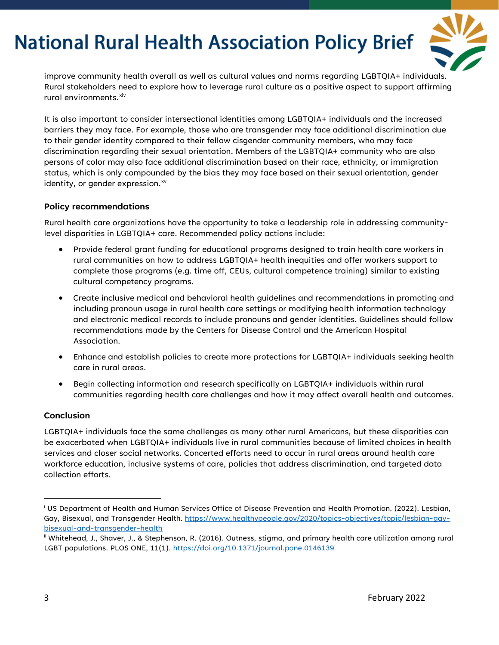

improve community health overall as well as cultural values and norms regarding LGBTQIA+ individuals. Rural stakeholders need to explore how to leverage rural culture as a positive aspect to support affirming rural environments.<sup>[xiv](#page-3-11)</sup>

It is also important to consider intersectional identities among LGBTQIA+ individuals and the increased barriers they may face. For example, those who are transgender may face additional discrimination due to their gender identity compared to their fellow cisgender community members, who may face discrimination regarding their sexual orientation. Members of the LGBTQIA+ community who are also persons of color may also face additional discrimination based on their race, ethnicity, or immigration status, which is only compounded by the bias they may face based on their sexual orientation, gender identity, or gender expression. [xv](#page-3-12)

#### **Policy recommendations**

Rural health care organizations have the opportunity to take a leadership role in addressing communitylevel disparities in LGBTQIA+ care. Recommended policy actions include:

- Provide federal grant funding for educational programs designed to train health care workers in rural communities on how to address LGBTQIA+ health inequities and offer workers support to complete those programs (e.g. time off, CEUs, cultural competence training) similar to existing cultural competency programs.
- Create inclusive medical and behavioral health guidelines and recommendations in promoting and including pronoun usage in rural health care settings or modifying health information technology and electronic medical records to include pronouns and gender identities. Guidelines should follow recommendations made by the Centers for Disease Control and the American Hospital Association.
- Enhance and establish policies to create more protections for LGBTQIA+ individuals seeking health care in rural areas.
- Begin collecting information and research specifically on LGBTQIA+ individuals within rural communities regarding health care challenges and how it may affect overall health and outcomes.

#### **Conclusion**

LGBTQIA+ individuals face the same challenges as many other rural Americans, but these disparities can be exacerbated when LGBTQIA+ individuals live in rural communities because of limited choices in health services and closer social networks. Concerted efforts need to occur in rural areas around health care workforce education, inclusive systems of care, policies that address discrimination, and targeted data collection efforts.

<span id="page-2-0"></span><sup>i</sup> US Department of Health and Human Services Office of Disease Prevention and Health Promotion. (2022). Lesbian, Gay, Bisexual, and Transgender Health. [https://www.healthypeople.gov/2020/topics-objectives/topic/lesbian-gay](https://www.healthypeople.gov/2020/topics-objectives/topic/lesbian-gay-bisexual-and-transgender-health)[bisexual-and-transgender-health](https://www.healthypeople.gov/2020/topics-objectives/topic/lesbian-gay-bisexual-and-transgender-health) 

<span id="page-2-1"></span>ii Whitehead, J., Shaver, J., & Stephenson, R. (2016). Outness, stigma, and primary health care utilization among rural LGBT populations. PLOS ONE, 11(1).<https://doi.org/10.1371/journal.pone.0146139>